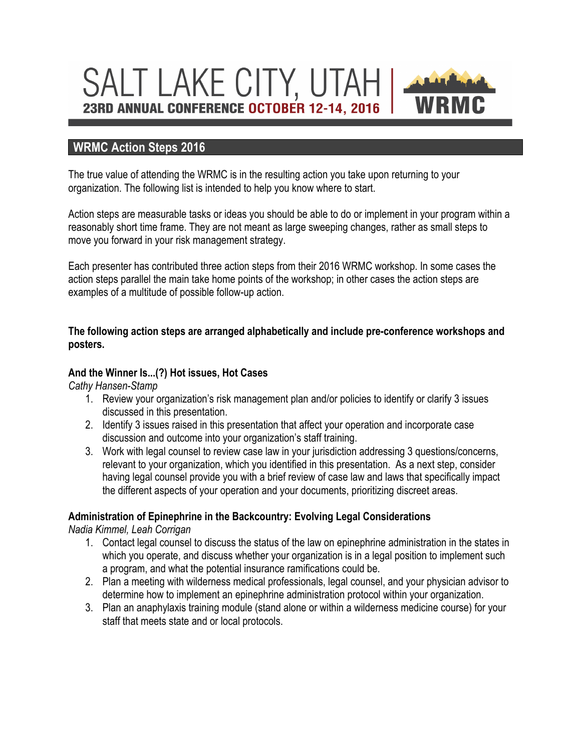# SALT LAKE CITY, UTAH 23RD ANNUAL CONFERENCE OCTOBER 12-14, 2016

# **WRMC Action Steps 2016**

The true value of attending the WRMC is in the resulting action you take upon returning to your organization. The following list is intended to help you know where to start.

Action steps are measurable tasks or ideas you should be able to do or implement in your program within a reasonably short time frame. They are not meant as large sweeping changes, rather as small steps to move you forward in your risk management strategy.

Each presenter has contributed three action steps from their 2016 WRMC workshop. In some cases the action steps parallel the main take home points of the workshop; in other cases the action steps are examples of a multitude of possible follow-up action.

#### **The following action steps are arranged alphabetically and include pre-conference workshops and posters.**

#### **And the Winner Is...(?) Hot issues, Hot Cases**

*Cathy Hansen-Stamp*

- 1. Review your organization's risk management plan and/or policies to identify or clarify 3 issues discussed in this presentation.
- 2. Identify 3 issues raised in this presentation that affect your operation and incorporate case discussion and outcome into your organization's staff training.
- 3. Work with legal counsel to review case law in your jurisdiction addressing 3 questions/concerns, relevant to your organization, which you identified in this presentation. As a next step, consider having legal counsel provide you with a brief review of case law and laws that specifically impact the different aspects of your operation and your documents, prioritizing discreet areas.

# **Administration of Epinephrine in the Backcountry: Evolving Legal Considerations**

*Nadia Kimmel, Leah Corrigan*

- 1. Contact legal counsel to discuss the status of the law on epinephrine administration in the states in which you operate, and discuss whether your organization is in a legal position to implement such a program, and what the potential insurance ramifications could be.
- 2. Plan a meeting with wilderness medical professionals, legal counsel, and your physician advisor to determine how to implement an epinephrine administration protocol within your organization.
- 3. Plan an anaphylaxis training module (stand alone or within a wilderness medicine course) for your staff that meets state and or local protocols.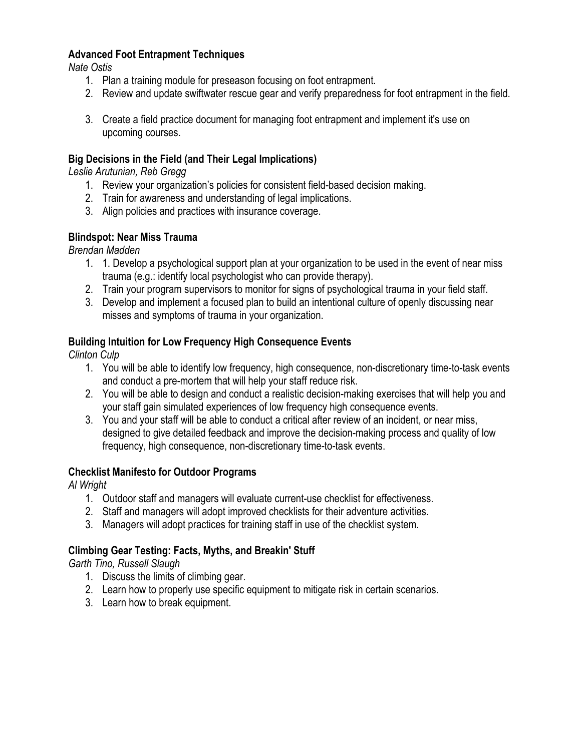# **Advanced Foot Entrapment Techniques**

*Nate Ostis*

- 1. Plan a training module for preseason focusing on foot entrapment.
- 2. Review and update swiftwater rescue gear and verify preparedness for foot entrapment in the field.
- 3. Create a field practice document for managing foot entrapment and implement it's use on upcoming courses.

# **Big Decisions in the Field (and Their Legal Implications)**

*Leslie Arutunian, Reb Gregg*

- 1. Review your organization's policies for consistent field-based decision making.
- 2. Train for awareness and understanding of legal implications.
- 3. Align policies and practices with insurance coverage.

#### **Blindspot: Near Miss Trauma**

*Brendan Madden*

- 1. 1. Develop a psychological support plan at your organization to be used in the event of near miss trauma (e.g.: identify local psychologist who can provide therapy).
- 2. Train your program supervisors to monitor for signs of psychological trauma in your field staff.
- 3. Develop and implement a focused plan to build an intentional culture of openly discussing near misses and symptoms of trauma in your organization.

# **Building Intuition for Low Frequency High Consequence Events**

*Clinton Culp*

- 1. You will be able to identify low frequency, high consequence, non-discretionary time-to-task events and conduct a pre-mortem that will help your staff reduce risk.
- 2. You will be able to design and conduct a realistic decision-making exercises that will help you and your staff gain simulated experiences of low frequency high consequence events.
- 3. You and your staff will be able to conduct a critical after review of an incident, or near miss, designed to give detailed feedback and improve the decision-making process and quality of low frequency, high consequence, non-discretionary time-to-task events.

#### **Checklist Manifesto for Outdoor Programs**

*Al Wright*

- 1. Outdoor staff and managers will evaluate current-use checklist for effectiveness.
- 2. Staff and managers will adopt improved checklists for their adventure activities.
- 3. Managers will adopt practices for training staff in use of the checklist system.

# **Climbing Gear Testing: Facts, Myths, and Breakin' Stuff**

*Garth Tino, Russell Slaugh*

- 1. Discuss the limits of climbing gear.
- 2. Learn how to properly use specific equipment to mitigate risk in certain scenarios.
- 3. Learn how to break equipment.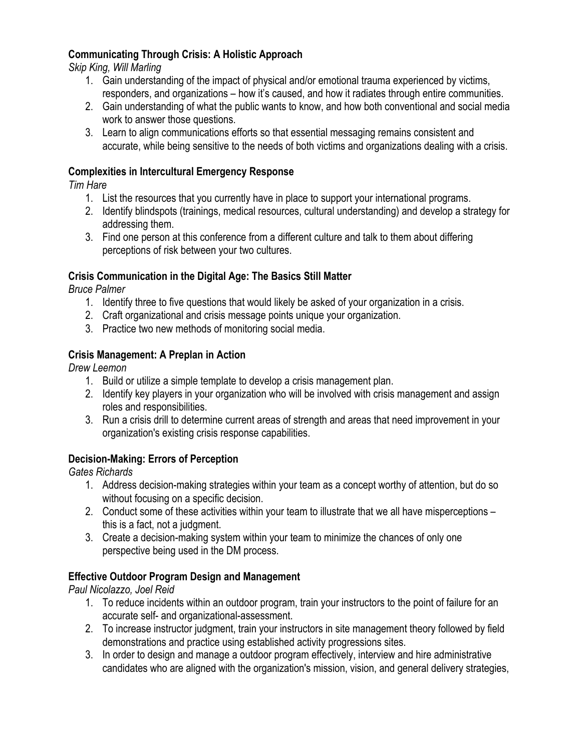# **Communicating Through Crisis: A Holistic Approach**

*Skip King, Will Marling*

- 1. Gain understanding of the impact of physical and/or emotional trauma experienced by victims, responders, and organizations – how it's caused, and how it radiates through entire communities.
- 2. Gain understanding of what the public wants to know, and how both conventional and social media work to answer those questions.
- 3. Learn to align communications efforts so that essential messaging remains consistent and accurate, while being sensitive to the needs of both victims and organizations dealing with a crisis.

#### **Complexities in Intercultural Emergency Response**

*Tim Hare*

- 1. List the resources that you currently have in place to support your international programs.
- 2. Identify blindspots (trainings, medical resources, cultural understanding) and develop a strategy for addressing them.
- 3. Find one person at this conference from a different culture and talk to them about differing perceptions of risk between your two cultures.

# **Crisis Communication in the Digital Age: The Basics Still Matter**

*Bruce Palmer*

- 1. Identify three to five questions that would likely be asked of your organization in a crisis.
- 2. Craft organizational and crisis message points unique your organization.
- 3. Practice two new methods of monitoring social media.

# **Crisis Management: A Preplan in Action**

*Drew Leemon*

- 1. Build or utilize a simple template to develop a crisis management plan.
- 2. Identify key players in your organization who will be involved with crisis management and assign roles and responsibilities.
- 3. Run a crisis drill to determine current areas of strength and areas that need improvement in your organization's existing crisis response capabilities.

# **Decision-Making: Errors of Perception**

*Gates Richards*

- 1. Address decision-making strategies within your team as a concept worthy of attention, but do so without focusing on a specific decision.
- 2. Conduct some of these activities within your team to illustrate that we all have misperceptions this is a fact, not a judgment.
- 3. Create a decision-making system within your team to minimize the chances of only one perspective being used in the DM process.

# **Effective Outdoor Program Design and Management**

*Paul Nicolazzo, Joel Reid*

- 1. To reduce incidents within an outdoor program, train your instructors to the point of failure for an accurate self- and organizational-assessment.
- 2. To increase instructor judgment, train your instructors in site management theory followed by field demonstrations and practice using established activity progressions sites.
- 3. In order to design and manage a outdoor program effectively, interview and hire administrative candidates who are aligned with the organization's mission, vision, and general delivery strategies,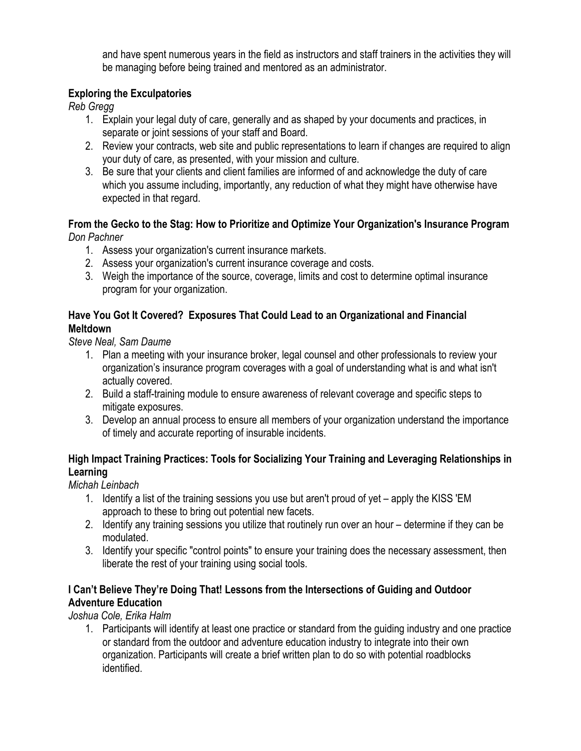and have spent numerous years in the field as instructors and staff trainers in the activities they will be managing before being trained and mentored as an administrator.

# **Exploring the Exculpatories**

*Reb Gregg*

- 1. Explain your legal duty of care, generally and as shaped by your documents and practices, in separate or joint sessions of your staff and Board.
- 2. Review your contracts, web site and public representations to learn if changes are required to align your duty of care, as presented, with your mission and culture.
- 3. Be sure that your clients and client families are informed of and acknowledge the duty of care which you assume including, importantly, any reduction of what they might have otherwise have expected in that regard.

#### **From the Gecko to the Stag: How to Prioritize and Optimize Your Organization's Insurance Program**  *Don Pachner*

- 1. Assess your organization's current insurance markets.
- 2. Assess your organization's current insurance coverage and costs.
- 3. Weigh the importance of the source, coverage, limits and cost to determine optimal insurance program for your organization.

# **Have You Got It Covered? Exposures That Could Lead to an Organizational and Financial Meltdown**

*Steve Neal, Sam Daume*

- 1. Plan a meeting with your insurance broker, legal counsel and other professionals to review your organization's insurance program coverages with a goal of understanding what is and what isn't actually covered.
- 2. Build a staff-training module to ensure awareness of relevant coverage and specific steps to mitigate exposures.
- 3. Develop an annual process to ensure all members of your organization understand the importance of timely and accurate reporting of insurable incidents.

# **High Impact Training Practices: Tools for Socializing Your Training and Leveraging Relationships in Learning**

*Michah Leinbach*

- 1. Identify a list of the training sessions you use but aren't proud of yet apply the KISS 'EM approach to these to bring out potential new facets.
- 2. Identify any training sessions you utilize that routinely run over an hour determine if they can be modulated.
- 3. Identify your specific "control points" to ensure your training does the necessary assessment, then liberate the rest of your training using social tools.

# **I Can't Believe They're Doing That! Lessons from the Intersections of Guiding and Outdoor Adventure Education**

*Joshua Cole, Erika Halm*

1. Participants will identify at least one practice or standard from the guiding industry and one practice or standard from the outdoor and adventure education industry to integrate into their own organization. Participants will create a brief written plan to do so with potential roadblocks identified.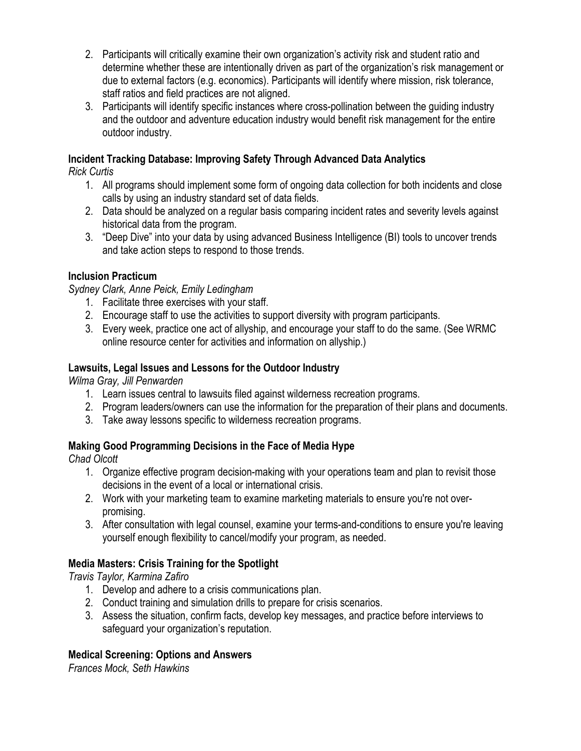- 2. Participants will critically examine their own organization's activity risk and student ratio and determine whether these are intentionally driven as part of the organization's risk management or due to external factors (e.g. economics). Participants will identify where mission, risk tolerance, staff ratios and field practices are not aligned.
- 3. Participants will identify specific instances where cross-pollination between the guiding industry and the outdoor and adventure education industry would benefit risk management for the entire outdoor industry.

# **Incident Tracking Database: Improving Safety Through Advanced Data Analytics**

*Rick Curtis*

- 1. All programs should implement some form of ongoing data collection for both incidents and close calls by using an industry standard set of data fields.
- 2. Data should be analyzed on a regular basis comparing incident rates and severity levels against historical data from the program.
- 3. "Deep Dive" into your data by using advanced Business Intelligence (BI) tools to uncover trends and take action steps to respond to those trends.

# **Inclusion Practicum**

*Sydney Clark, Anne Peick, Emily Ledingham*

- 1. Facilitate three exercises with your staff.
- 2. Encourage staff to use the activities to support diversity with program participants.
- 3. Every week, practice one act of allyship, and encourage your staff to do the same. (See WRMC online resource center for activities and information on allyship.)

# **Lawsuits, Legal Issues and Lessons for the Outdoor Industry**

*Wilma Gray, Jill Penwarden*

- 1. Learn issues central to lawsuits filed against wilderness recreation programs.
- 2. Program leaders/owners can use the information for the preparation of their plans and documents.
- 3. Take away lessons specific to wilderness recreation programs.

# **Making Good Programming Decisions in the Face of Media Hype**

*Chad Olcott*

- 1. Organize effective program decision-making with your operations team and plan to revisit those decisions in the event of a local or international crisis.
- 2. Work with your marketing team to examine marketing materials to ensure you're not overpromising.
- 3. After consultation with legal counsel, examine your terms-and-conditions to ensure you're leaving yourself enough flexibility to cancel/modify your program, as needed.

# **Media Masters: Crisis Training for the Spotlight**

*Travis Taylor, Karmina Zafiro*

- 1. Develop and adhere to a crisis communications plan.
- 2. Conduct training and simulation drills to prepare for crisis scenarios.
- 3. Assess the situation, confirm facts, develop key messages, and practice before interviews to safeguard your organization's reputation.

# **Medical Screening: Options and Answers**

*Frances Mock, Seth Hawkins*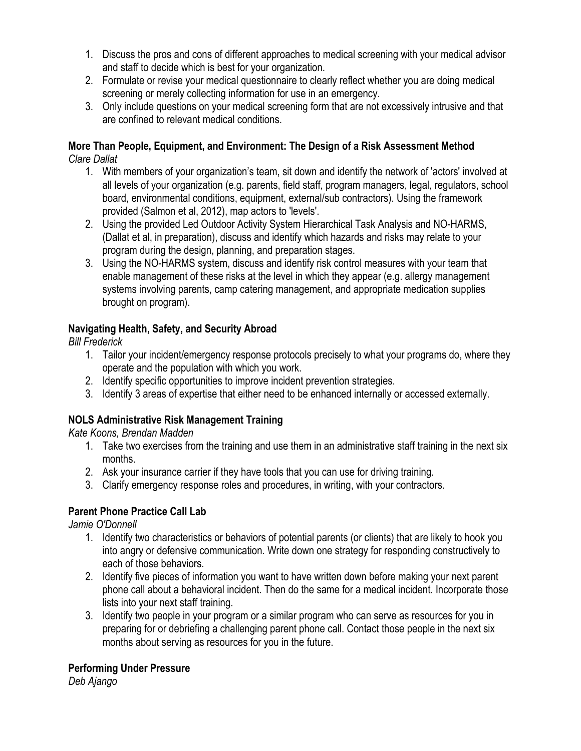- 1. Discuss the pros and cons of different approaches to medical screening with your medical advisor and staff to decide which is best for your organization.
- 2. Formulate or revise your medical questionnaire to clearly reflect whether you are doing medical screening or merely collecting information for use in an emergency.
- 3. Only include questions on your medical screening form that are not excessively intrusive and that are confined to relevant medical conditions.

# **More Than People, Equipment, and Environment: The Design of a Risk Assessment Method**

*Clare Dallat*

- 1. With members of your organization's team, sit down and identify the network of 'actors' involved at all levels of your organization (e.g. parents, field staff, program managers, legal, regulators, school board, environmental conditions, equipment, external/sub contractors). Using the framework provided (Salmon et al, 2012), map actors to 'levels'.
- 2. Using the provided Led Outdoor Activity System Hierarchical Task Analysis and NO-HARMS, (Dallat et al, in preparation), discuss and identify which hazards and risks may relate to your program during the design, planning, and preparation stages.
- 3. Using the NO-HARMS system, discuss and identify risk control measures with your team that enable management of these risks at the level in which they appear (e.g. allergy management systems involving parents, camp catering management, and appropriate medication supplies brought on program).

# **Navigating Health, Safety, and Security Abroad**

*Bill Frederick*

- 1. Tailor your incident/emergency response protocols precisely to what your programs do, where they operate and the population with which you work.
- 2. Identify specific opportunities to improve incident prevention strategies.
- 3. Identify 3 areas of expertise that either need to be enhanced internally or accessed externally.

# **NOLS Administrative Risk Management Training**

*Kate Koons, Brendan Madden*

- 1. Take two exercises from the training and use them in an administrative staff training in the next six months.
- 2. Ask your insurance carrier if they have tools that you can use for driving training.
- 3. Clarify emergency response roles and procedures, in writing, with your contractors.

# **Parent Phone Practice Call Lab**

*Jamie O'Donnell*

- 1. Identify two characteristics or behaviors of potential parents (or clients) that are likely to hook you into angry or defensive communication. Write down one strategy for responding constructively to each of those behaviors.
- 2. Identify five pieces of information you want to have written down before making your next parent phone call about a behavioral incident. Then do the same for a medical incident. Incorporate those lists into your next staff training.
- 3. Identify two people in your program or a similar program who can serve as resources for you in preparing for or debriefing a challenging parent phone call. Contact those people in the next six months about serving as resources for you in the future.

# **Performing Under Pressure**

*Deb Ajango*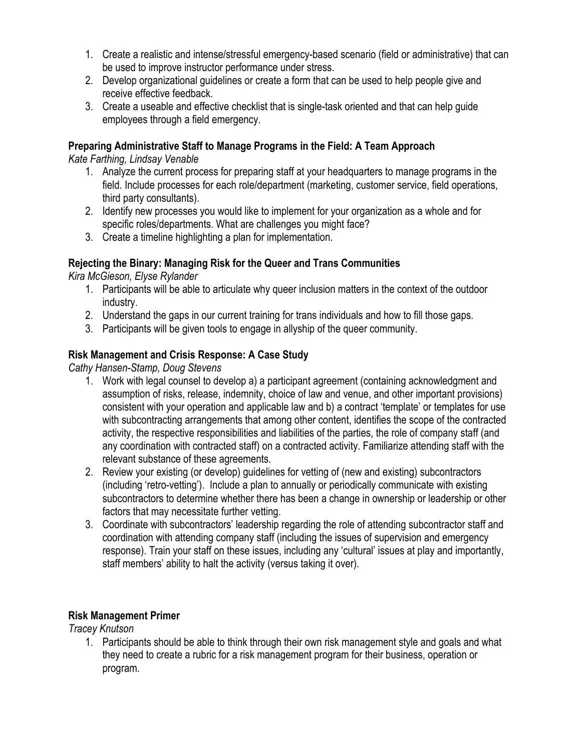- 1. Create a realistic and intense/stressful emergency-based scenario (field or administrative) that can be used to improve instructor performance under stress.
- 2. Develop organizational guidelines or create a form that can be used to help people give and receive effective feedback.
- 3. Create a useable and effective checklist that is single-task oriented and that can help guide employees through a field emergency.

# **Preparing Administrative Staff to Manage Programs in the Field: A Team Approach**

*Kate Farthing, Lindsay Venable*

- 1. Analyze the current process for preparing staff at your headquarters to manage programs in the field. Include processes for each role/department (marketing, customer service, field operations, third party consultants).
- 2. Identify new processes you would like to implement for your organization as a whole and for specific roles/departments. What are challenges you might face?
- 3. Create a timeline highlighting a plan for implementation.

# **Rejecting the Binary: Managing Risk for the Queer and Trans Communities**

*Kira McGieson, Elyse Rylander*

- 1. Participants will be able to articulate why queer inclusion matters in the context of the outdoor industry.
- 2. Understand the gaps in our current training for trans individuals and how to fill those gaps.
- 3. Participants will be given tools to engage in allyship of the queer community.

# **Risk Management and Crisis Response: A Case Study**

*Cathy Hansen-Stamp, Doug Stevens*

- 1. Work with legal counsel to develop a) a participant agreement (containing acknowledgment and assumption of risks, release, indemnity, choice of law and venue, and other important provisions) consistent with your operation and applicable law and b) a contract 'template' or templates for use with subcontracting arrangements that among other content, identifies the scope of the contracted activity, the respective responsibilities and liabilities of the parties, the role of company staff (and any coordination with contracted staff) on a contracted activity. Familiarize attending staff with the relevant substance of these agreements.
- 2. Review your existing (or develop) guidelines for vetting of (new and existing) subcontractors (including 'retro-vetting'). Include a plan to annually or periodically communicate with existing subcontractors to determine whether there has been a change in ownership or leadership or other factors that may necessitate further vetting.
- 3. Coordinate with subcontractors' leadership regarding the role of attending subcontractor staff and coordination with attending company staff (including the issues of supervision and emergency response). Train your staff on these issues, including any 'cultural' issues at play and importantly, staff members' ability to halt the activity (versus taking it over).

#### **Risk Management Primer**

*Tracey Knutson*

1. Participants should be able to think through their own risk management style and goals and what they need to create a rubric for a risk management program for their business, operation or program.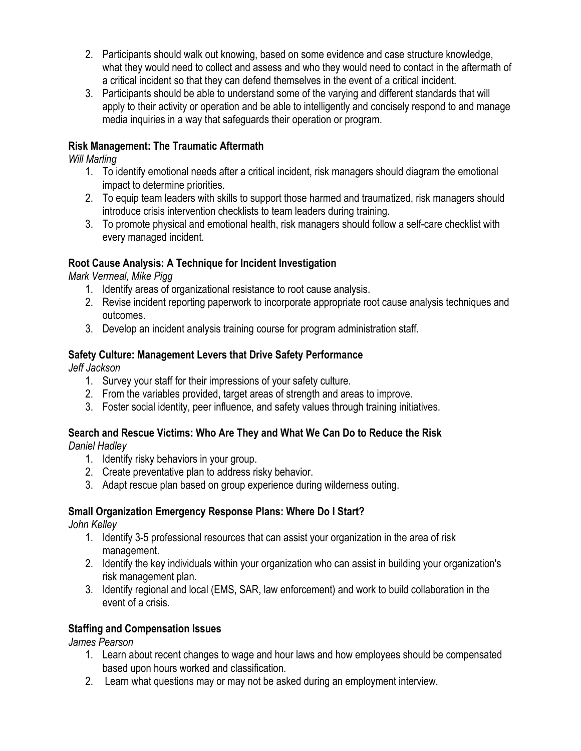- 2. Participants should walk out knowing, based on some evidence and case structure knowledge, what they would need to collect and assess and who they would need to contact in the aftermath of a critical incident so that they can defend themselves in the event of a critical incident.
- 3. Participants should be able to understand some of the varying and different standards that will apply to their activity or operation and be able to intelligently and concisely respond to and manage media inquiries in a way that safeguards their operation or program.

# **Risk Management: The Traumatic Aftermath**

*Will Marling*

- 1. To identify emotional needs after a critical incident, risk managers should diagram the emotional impact to determine priorities.
- 2. To equip team leaders with skills to support those harmed and traumatized, risk managers should introduce crisis intervention checklists to team leaders during training.
- 3. To promote physical and emotional health, risk managers should follow a self-care checklist with every managed incident.

#### **Root Cause Analysis: A Technique for Incident Investigation**

*Mark Vermeal, Mike Pigg*

- 1. Identify areas of organizational resistance to root cause analysis.
- 2. Revise incident reporting paperwork to incorporate appropriate root cause analysis techniques and outcomes.
- 3. Develop an incident analysis training course for program administration staff.

# **Safety Culture: Management Levers that Drive Safety Performance**

*Jeff Jackson*

- 1. Survey your staff for their impressions of your safety culture.
- 2. From the variables provided, target areas of strength and areas to improve.
- 3. Foster social identity, peer influence, and safety values through training initiatives.

# **Search and Rescue Victims: Who Are They and What We Can Do to Reduce the Risk**

*Daniel Hadley*

- 1. Identify risky behaviors in your group.
- 2. Create preventative plan to address risky behavior.
- 3. Adapt rescue plan based on group experience during wilderness outing.

# **Small Organization Emergency Response Plans: Where Do I Start?**

*John Kelley*

- 1. Identify 3-5 professional resources that can assist your organization in the area of risk management.
- 2. Identify the key individuals within your organization who can assist in building your organization's risk management plan.
- 3. Identify regional and local (EMS, SAR, law enforcement) and work to build collaboration in the event of a crisis.

#### **Staffing and Compensation Issues**

*James Pearson*

- 1. Learn about recent changes to wage and hour laws and how employees should be compensated based upon hours worked and classification.
- 2. Learn what questions may or may not be asked during an employment interview.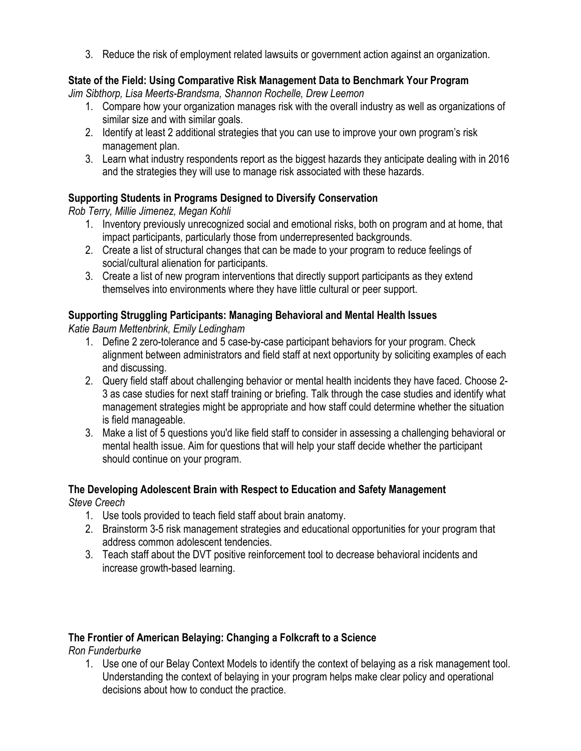3. Reduce the risk of employment related lawsuits or government action against an organization.

# **State of the Field: Using Comparative Risk Management Data to Benchmark Your Program**

*Jim Sibthorp, Lisa Meerts-Brandsma, Shannon Rochelle, Drew Leemon*

- 1. Compare how your organization manages risk with the overall industry as well as organizations of similar size and with similar goals.
- 2. Identify at least 2 additional strategies that you can use to improve your own program's risk management plan.
- 3. Learn what industry respondents report as the biggest hazards they anticipate dealing with in 2016 and the strategies they will use to manage risk associated with these hazards.

# **Supporting Students in Programs Designed to Diversify Conservation**

*Rob Terry, Millie Jimenez, Megan Kohli*

- 1. Inventory previously unrecognized social and emotional risks, both on program and at home, that impact participants, particularly those from underrepresented backgrounds.
- 2. Create a list of structural changes that can be made to your program to reduce feelings of social/cultural alienation for participants.
- 3. Create a list of new program interventions that directly support participants as they extend themselves into environments where they have little cultural or peer support.

# **Supporting Struggling Participants: Managing Behavioral and Mental Health Issues**

*Katie Baum Mettenbrink, Emily Ledingham*

- 1. Define 2 zero-tolerance and 5 case-by-case participant behaviors for your program. Check alignment between administrators and field staff at next opportunity by soliciting examples of each and discussing.
- 2. Query field staff about challenging behavior or mental health incidents they have faced. Choose 2- 3 as case studies for next staff training or briefing. Talk through the case studies and identify what management strategies might be appropriate and how staff could determine whether the situation is field manageable.
- 3. Make a list of 5 questions you'd like field staff to consider in assessing a challenging behavioral or mental health issue. Aim for questions that will help your staff decide whether the participant should continue on your program.

# **The Developing Adolescent Brain with Respect to Education and Safety Management**

*Steve Creech*

- 1. Use tools provided to teach field staff about brain anatomy.
- 2. Brainstorm 3-5 risk management strategies and educational opportunities for your program that address common adolescent tendencies.
- 3. Teach staff about the DVT positive reinforcement tool to decrease behavioral incidents and increase growth-based learning.

# **The Frontier of American Belaying: Changing a Folkcraft to a Science**

*Ron Funderburke*

1. Use one of our Belay Context Models to identify the context of belaying as a risk management tool. Understanding the context of belaying in your program helps make clear policy and operational decisions about how to conduct the practice.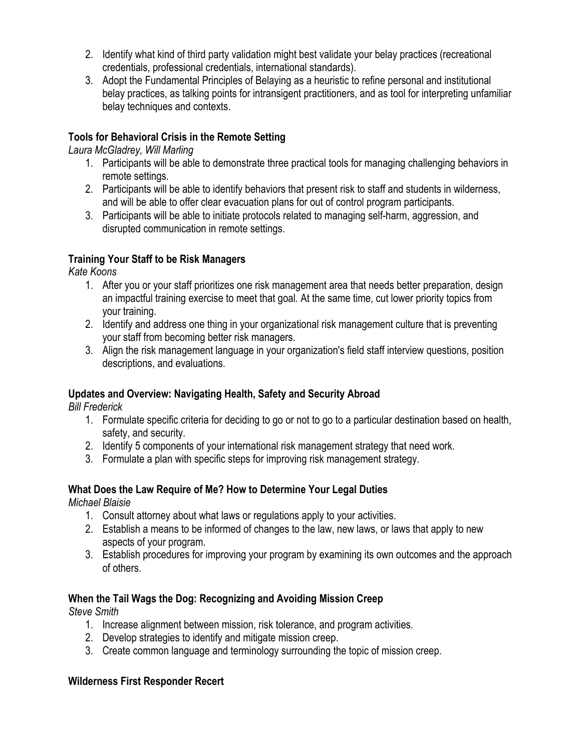- 2. Identify what kind of third party validation might best validate your belay practices (recreational credentials, professional credentials, international standards).
- 3. Adopt the Fundamental Principles of Belaying as a heuristic to refine personal and institutional belay practices, as talking points for intransigent practitioners, and as tool for interpreting unfamiliar belay techniques and contexts.

# **Tools for Behavioral Crisis in the Remote Setting**

*Laura McGladrey, Will Marling*

- 1. Participants will be able to demonstrate three practical tools for managing challenging behaviors in remote settings.
- 2. Participants will be able to identify behaviors that present risk to staff and students in wilderness, and will be able to offer clear evacuation plans for out of control program participants.
- 3. Participants will be able to initiate protocols related to managing self-harm, aggression, and disrupted communication in remote settings.

# **Training Your Staff to be Risk Managers**

*Kate Koons*

- 1. After you or your staff prioritizes one risk management area that needs better preparation, design an impactful training exercise to meet that goal. At the same time, cut lower priority topics from your training.
- 2. Identify and address one thing in your organizational risk management culture that is preventing your staff from becoming better risk managers.
- 3. Align the risk management language in your organization's field staff interview questions, position descriptions, and evaluations.

# **Updates and Overview: Navigating Health, Safety and Security Abroad**

*Bill Frederick*

- 1. Formulate specific criteria for deciding to go or not to go to a particular destination based on health, safety, and security.
- 2. Identify 5 components of your international risk management strategy that need work.
- 3. Formulate a plan with specific steps for improving risk management strategy.

# **What Does the Law Require of Me? How to Determine Your Legal Duties**

*Michael Blaisie*

- 1. Consult attorney about what laws or regulations apply to your activities.
- 2. Establish a means to be informed of changes to the law, new laws, or laws that apply to new aspects of your program.
- 3. Establish procedures for improving your program by examining its own outcomes and the approach of others.

# **When the Tail Wags the Dog: Recognizing and Avoiding Mission Creep**

*Steve Smith*

- 1. Increase alignment between mission, risk tolerance, and program activities.
- 2. Develop strategies to identify and mitigate mission creep.
- 3. Create common language and terminology surrounding the topic of mission creep.

# **Wilderness First Responder Recert**